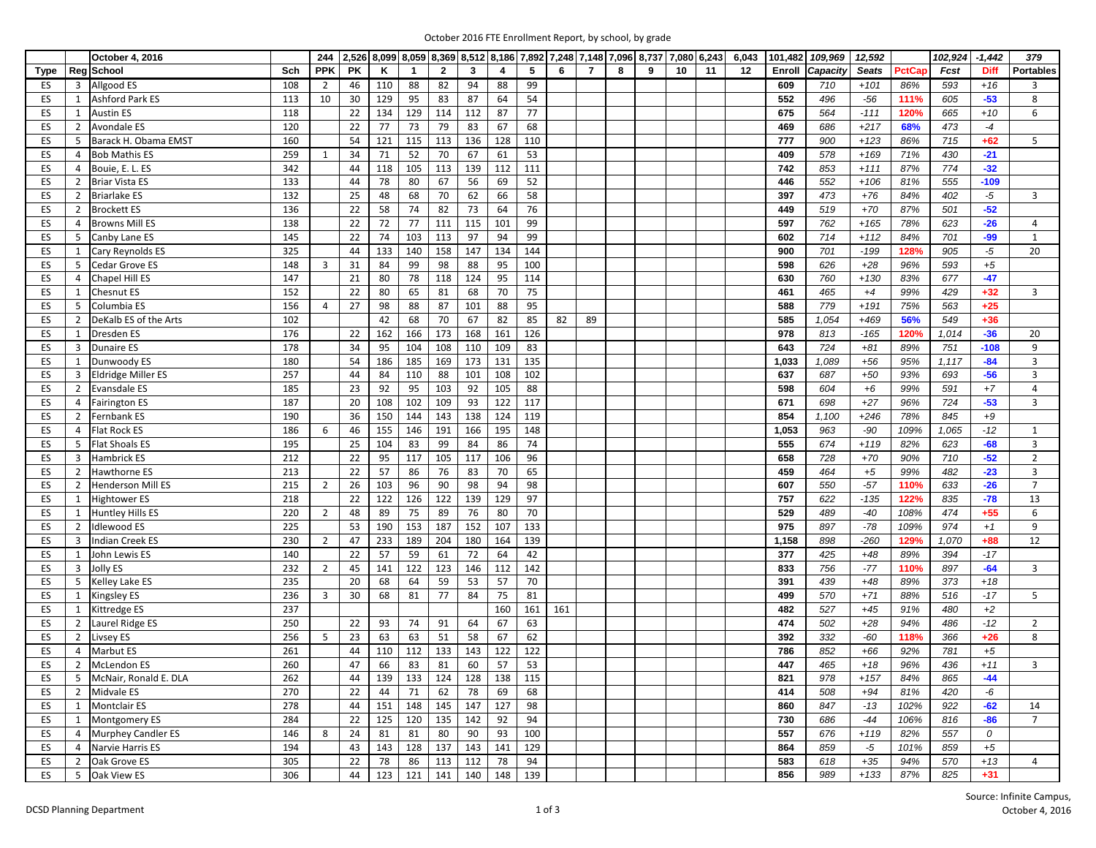| October 2016 FTE Enrollment Report, by school, by grade |  |  |  |  |  |  |  |
|---------------------------------------------------------|--|--|--|--|--|--|--|
|---------------------------------------------------------|--|--|--|--|--|--|--|

|          | October 4, 2016                                                 |            | 244            |           |           |              |              |     |           |           |     |                |   | 2,526 8,099 8,059 8,369 8,512 8,186 7,892 7,248 7,148 7,096 8,737 7,080 6,243 |    |    | 6,043 | 101,482      | 109,969    | 12,592          |              | 102,924 | $-1,442$    | 379              |
|----------|-----------------------------------------------------------------|------------|----------------|-----------|-----------|--------------|--------------|-----|-----------|-----------|-----|----------------|---|-------------------------------------------------------------------------------|----|----|-------|--------------|------------|-----------------|--------------|---------|-------------|------------------|
| Type     | Reg School                                                      | Sch        | <b>PPK</b>     | <b>PK</b> | Κ         | $\mathbf{1}$ | $\mathbf{2}$ | 3   | 4         | 5         | 6   | $\overline{7}$ | 8 | 9                                                                             | 10 | 11 | 12    | Enroll       | Capacity   | <b>Seats</b>    | PctCap       | Fcst    | <b>Diff</b> | <b>Portables</b> |
| ES       | Allgood ES<br>3                                                 | 108        | $\overline{2}$ | 46        | 110       | 88           | 82           | 94  | 88        | 99        |     |                |   |                                                                               |    |    |       | 609          | 710        | $+101$          | 86%          | 593     | $+16$       | 3                |
| ES       | Ashford Park ES<br>1                                            | 113        | 10             | 30        | 129       | 95           | 83           | 87  | 64        | 54        |     |                |   |                                                                               |    |    |       | 552          | 496        | $-56$           | 111%         | 605     | $-53$       | 8                |
| ES       | <b>Austin ES</b><br>1                                           | 118        |                | 22        | 134       | 129          | 114          | 112 | 87        | 77        |     |                |   |                                                                               |    |    |       | 675          | 564        | $-111$          | 120%         | 665     | $+10$       | 6                |
| ES       | $\overline{2}$<br><b>Avondale ES</b>                            | 120        |                | 22        | 77        | 73           | 79           | 83  | 67        | 68        |     |                |   |                                                                               |    |    |       | 469          | 686        | $+217$          | 68%          | 473     | $-4$        |                  |
| ES       | Barack H. Obama EMST<br>5                                       | 160        |                | 54        | 121       | 115          | 113          | 136 | 128       | 110       |     |                |   |                                                                               |    |    |       | 777          | 900        | $+123$          | 86%          | 715     | $+62$       | 5                |
| ES       | <b>Bob Mathis ES</b><br>4                                       | 259        | 1              | 34        | 71        | 52           | 70           | 67  | 61        | 53        |     |                |   |                                                                               |    |    |       | 409          | 578        | $+169$          | 71%          | 430     | $-21$       |                  |
| ES       | Bouie, E. L. ES<br>4                                            | 342        |                | 44        | 118       | 105          | 113          | 139 | 112       | 111       |     |                |   |                                                                               |    |    |       | 742          | 853        | $+111$          | 87%          | 774     | $-32$       |                  |
| ES       | <b>Briar Vista ES</b><br>2                                      | 133        |                | 44        | 78        | 80           | 67           | 56  | 69        | 52        |     |                |   |                                                                               |    |    |       | 446          | 552        | $+106$          | 81%          | 555     | $-109$      |                  |
| ES       | <b>Briarlake ES</b><br>2                                        | 132        |                | 25        | 48        | 68           | 70           | 62  | 66        | 58        |     |                |   |                                                                               |    |    |       | 397          | 473        | $+76$           | 84%          | 402     | $-5$        | 3                |
| ES       | $\overline{2}$<br><b>Brockett ES</b>                            | 136        |                | 22        | 58        | 74           | 82           | 73  | 64        | 76        |     |                |   |                                                                               |    |    |       | 449          | 519        | $+70$           | 87%          | 501     | $-52$       |                  |
| ES       | <b>Browns Mill ES</b><br>$\overline{4}$                         | 138        |                | 22        | 72        | 77           | 111          | 115 | 101       | 99        |     |                |   |                                                                               |    |    |       | 597          | 762        | $+165$          | 78%          | 623     | $-26$       | $\overline{4}$   |
| ES       | 5<br>Canby Lane ES                                              | 145        |                | 22        | 74        | 103          | 113          | 97  | 94        | 99        |     |                |   |                                                                               |    |    |       | 602          | 714        | $+112$          | 84%          | 701     | $-99$       | 1                |
| ES       | Cary Reynolds ES<br>1                                           | 325        |                | 44        | 133       | 140          | 158          | 147 | 134       | 144       |     |                |   |                                                                               |    |    |       | 900          | 701        | $-199$          | 128%         | 905     | $-5$        | 20               |
| ES       | Cedar Grove ES<br>5                                             | 148        | 3              | 31        | 84        | 99           | 98           | 88  | 95        | 100       |     |                |   |                                                                               |    |    |       | 598          | 626        | $+28$           | 96%          | 593     | $+5$        |                  |
| ES       | Chapel Hill ES<br>$\overline{4}$                                | 147        |                | 21        | 80        | 78           | 118          | 124 | 95        | 114       |     |                |   |                                                                               |    |    |       | 630          | 760        | $+130$          | 83%          | 677     | $-47$       |                  |
| ES       | $\mathbf{1}$<br><b>Chesnut ES</b>                               | 152        |                | 22        | 80        | 65           | 81           | 68  | 70        | 75        |     |                |   |                                                                               |    |    |       | 461          | 465        | $+4$            | 99%          | 429     | $+32$       | 3                |
| ES       | Columbia ES<br>5                                                | 156        | 4              | 27        | 98        | 88           | 87           | 101 | 88        | 95        |     |                |   |                                                                               |    |    |       | 588          | 779        | $+191$          | 75%          | 563     | $+25$       |                  |
| ES       | DeKalb ES of the Arts<br>2                                      | 102        |                |           | 42        | 68           | 70           | 67  | 82        | 85        | 82  | 89             |   |                                                                               |    |    |       | 585          | 1,054      | $+469$          | 56%          | 549     | $+36$       |                  |
| ES       | $\mathbf{1}$<br><b>Dresden ES</b>                               | 176        |                | 22        | 162       | 166          | 173          | 168 | 161       | 126       |     |                |   |                                                                               |    |    |       | 978          | 813        | $-165$          | 120%         | 1,014   | $-36$       | 20               |
| ES       | 3<br><b>Dunaire ES</b>                                          | 178        |                | 34        | 95        | 104          | 108          | 110 | 109       | 83        |     |                |   |                                                                               |    |    |       | 643          | 724        | $+81$           | 89%          | 751     | $-108$      | 9                |
|          |                                                                 | 180        |                | 54        | 186       |              | 169          | 173 | 131       | 135       |     |                |   |                                                                               |    |    |       | 1,033        | 1,089      | $+56$           | 95%          | 1,117   | $-84$       | $\overline{3}$   |
| ES       | Dunwoody ES<br>1<br><b>Eldridge Miller ES</b><br>$\overline{3}$ | 257        |                | 44        | 84        | 185<br>110   |              | 101 | 108       | 102       |     |                |   |                                                                               |    |    |       | 637          | 687        | $+50$           | 93%          | 693     | $-56$       | 3                |
| ES       | Evansdale ES                                                    | 185        |                |           |           | 95           | 88<br>103    | 92  | 105       | 88        |     |                |   |                                                                               |    |    |       | 598          | 604        |                 | 99%          | 591     | $+7$        | $\overline{4}$   |
| ES<br>ES | $\overline{2}$<br><b>Fairington ES</b><br>4                     | 187        |                | 23<br>20  | 92<br>108 | 102          | 109          | 93  | 122       | 117       |     |                |   |                                                                               |    |    |       | 671          | 698        | $+6$<br>$+27$   | 96%          | 724     | $-53$       | 3                |
|          | Fernbank ES<br>$\overline{2}$                                   | 190        |                | 36        | 150       | 144          | 143          | 138 | 124       | 119       |     |                |   |                                                                               |    |    |       | 854          | 1,100      | $+246$          | 78%          | 845     | $+9$        |                  |
| ES       |                                                                 |            |                | 46        | 155       | 146          | 191          | 166 | 195       | 148       |     |                |   |                                                                               |    |    |       |              | 963        |                 | 109%         | 1,065   | $-12$       |                  |
| ES<br>ES | Flat Rock ES<br>$\overline{4}$<br>5<br><b>Flat Shoals ES</b>    | 186<br>195 | 6              | 25        | 104       | 83           | 99           | 84  | 86        | 74        |     |                |   |                                                                               |    |    |       | 1,053<br>555 | 674        | $-90$<br>$+119$ | 82%          | 623     | $-68$       | 1<br>3           |
|          | <b>Hambrick ES</b><br>$\overline{3}$                            | 212        |                | 22        | 95        | 117          | 105          | 117 | 106       |           |     |                |   |                                                                               |    |    |       | 658          | 728        | $+70$           | 90%          | 710     | $-52$       | $\overline{2}$   |
| ES<br>ES | $\overline{2}$<br>Hawthorne ES                                  | 213        |                | 22        | 57        | 86           | 76           | 83  | 70        | 96<br>65  |     |                |   |                                                                               |    |    |       | 459          | 464        | $+5$            | 99%          | 482     | $-23$       | 3                |
| ES       | $\overline{2}$<br><b>Henderson Mill ES</b>                      | 215        | $\overline{2}$ | 26        | 103       | 96           | 90           | 98  | 94        | 98        |     |                |   |                                                                               |    |    |       | 607          | 550        | $-57$           | 110%         | 633     | $-26$       | $7^{\circ}$      |
|          |                                                                 | 218        |                | 22        | 122       | 126          | 122          | 139 | 129       | 97        |     |                |   |                                                                               |    |    |       | 757          | 622        | $-135$          |              | 835     | $-78$       | 13               |
| ES       | <b>Hightower ES</b><br>1<br>$\mathbf{1}$                        |            |                |           | 89        | 75           | 89           | 76  |           |           |     |                |   |                                                                               |    |    |       | 529          | 489        |                 | 122%<br>108% | 474     | $+55$       |                  |
| ES       | Huntley Hills ES<br><b>Idlewood ES</b><br>$\overline{2}$        | 220<br>225 | $\overline{2}$ | 48<br>53  |           | 153          | 187          | 152 | 80<br>107 | 70<br>133 |     |                |   |                                                                               |    |    |       | 975          | 897        | -40<br>$-78$    | 109%         | 974     |             | 6<br>9           |
| ES       |                                                                 |            |                |           | 190       |              |              |     |           |           |     |                |   |                                                                               |    |    |       |              |            |                 |              |         | $+1$        |                  |
| ES       | Indian Creek ES<br>3                                            | 230        | $\overline{2}$ | 47        | 233       | 189          | 204          | 180 | 164       | 139       |     |                |   |                                                                               |    |    |       | 1,158        | 898        | $-260$          | 129%         | 1,070   | $+88$       | 12               |
| ES       | John Lewis ES<br>1                                              | 140        |                | 22        | 57        | 59           | 61           | 72  | 64        | 42        |     |                |   |                                                                               |    |    |       | 377          | 425<br>756 | $+48$<br>$-77$  | 89%          | 394     | $-17$       |                  |
| ES       | Jolly ES<br>3                                                   | 232        | $\overline{2}$ | 45        | 141       | 122          | 123          | 146 | 112       | 142       |     |                |   |                                                                               |    |    |       | 833          |            |                 | 110%         | 897     | $-64$       | $\overline{3}$   |
| ES       | 5<br>Kelley Lake ES                                             | 235        |                | 20        | 68        | 64           | 59           | 53  | 57        | 70        |     |                |   |                                                                               |    |    |       | 391<br>499   | 439        | $+48$           | 89%          | 373     | $+18$       |                  |
| ES       | $\mathbf{1}$<br><b>Kingsley ES</b>                              | 236        | $\overline{3}$ | 30        | 68        | 81           | 77           | 84  | 75        | 81        |     |                |   |                                                                               |    |    |       |              | 570        | $+71$           | 88%          | 516     | $-17$       | 5                |
| ES       | Kittredge ES<br>1                                               | 237        |                |           |           |              |              |     | 160       | 161       | 161 |                |   |                                                                               |    |    |       | 482          | 527        | $+45$           | 91%          | 480     | $+2$        |                  |
| ES       | $\overline{2}$<br>Laurel Ridge ES                               | 250        |                | 22        | 93        | 74           | 91           | 64  | 67        | 63        |     |                |   |                                                                               |    |    |       | 474          | 502        | $+28$           | 94%          | 486     | $-12$       | $\overline{2}$   |
| ES       | Livsey ES<br>$\overline{2}$                                     | 256        | 5              | 23        | 63        | 63           | 51           | 58  | 67        | 62        |     |                |   |                                                                               |    |    |       | 392          | 332        | $-60$           | 118%         | 366     | $+26$       | 8                |
| ES       | $\overline{4}$<br>Marbut ES                                     | 261        |                | 44        | 110       | 112          | 133          | 143 | 122       | 122       |     |                |   |                                                                               |    |    |       | 786          | 852        | $+66$           | 92%          | 781     | $+5$        |                  |
| ES       | McLendon ES<br>$\overline{2}$                                   | 260        |                | 47        | 66        | 83           | 81           | 60  | 57        | 53        |     |                |   |                                                                               |    |    |       | 447          | 465        | $+18$           | 96%          | 436     | $+11$       | $\overline{3}$   |
| ES       | McNair, Ronald E. DLA<br>5                                      | 262        |                | 44        | 139       | 133          | 124          | 128 | 138       | 115       |     |                |   |                                                                               |    |    |       | 821          | 978        | $+157$          | 84%          | 865     | $-44$       |                  |
| ES       | $\overline{2}$<br>Midvale ES                                    | 270        |                | 22        | 44        | 71           | 62           | 78  | 69        | 68        |     |                |   |                                                                               |    |    |       | 414          | 508        | $+94$           | 81%          | 420     | -6          |                  |
| ES       | <b>Montclair ES</b><br>1                                        | 278        |                | 44        | 151       | 148          | 145          | 147 | 127       | 98        |     |                |   |                                                                               |    |    |       | 860          | 847        | $-13$           | 102%         | 922     | $-62$       | 14               |
| ES       | Montgomery ES<br>1                                              | 284        |                | 22        | 125       | 120          | 135          | 142 | 92        | 94        |     |                |   |                                                                               |    |    |       | 730          | 686        | $-44$           | 106%         | 816     | $-86$       | $\overline{7}$   |
| ES       | <b>Murphey Candler ES</b><br>$\overline{4}$                     | 146        | 8              | 24        | 81        | 81           | 80           | 90  | 93        | 100       |     |                |   |                                                                               |    |    |       | 557          | 676        | $+119$          | 82%          | 557     | 0           |                  |
| ES       | Narvie Harris ES<br>$\overline{4}$                              | 194        |                | 43        | 143       | 128          | 137          | 143 | 141       | 129       |     |                |   |                                                                               |    |    |       | 864          | 859        | -5              | 101%         | 859     | $+5$        |                  |
| ES       | Oak Grove ES<br>2                                               | 305        |                | 22        | 78        | 86           | 113          | 112 | 78        | 94        |     |                |   |                                                                               |    |    |       | 583          | 618        | $+35$           | 94%          | 570     | $+13$       | 4                |
| ES       | 5 <sup>5</sup><br>Oak View ES                                   | 306        |                | 44        | 123       | 121          | 141          | 140 | 148       | 139       |     |                |   |                                                                               |    |    |       | 856          | 989        | $+133$          | 87%          | 825     | $+31$       |                  |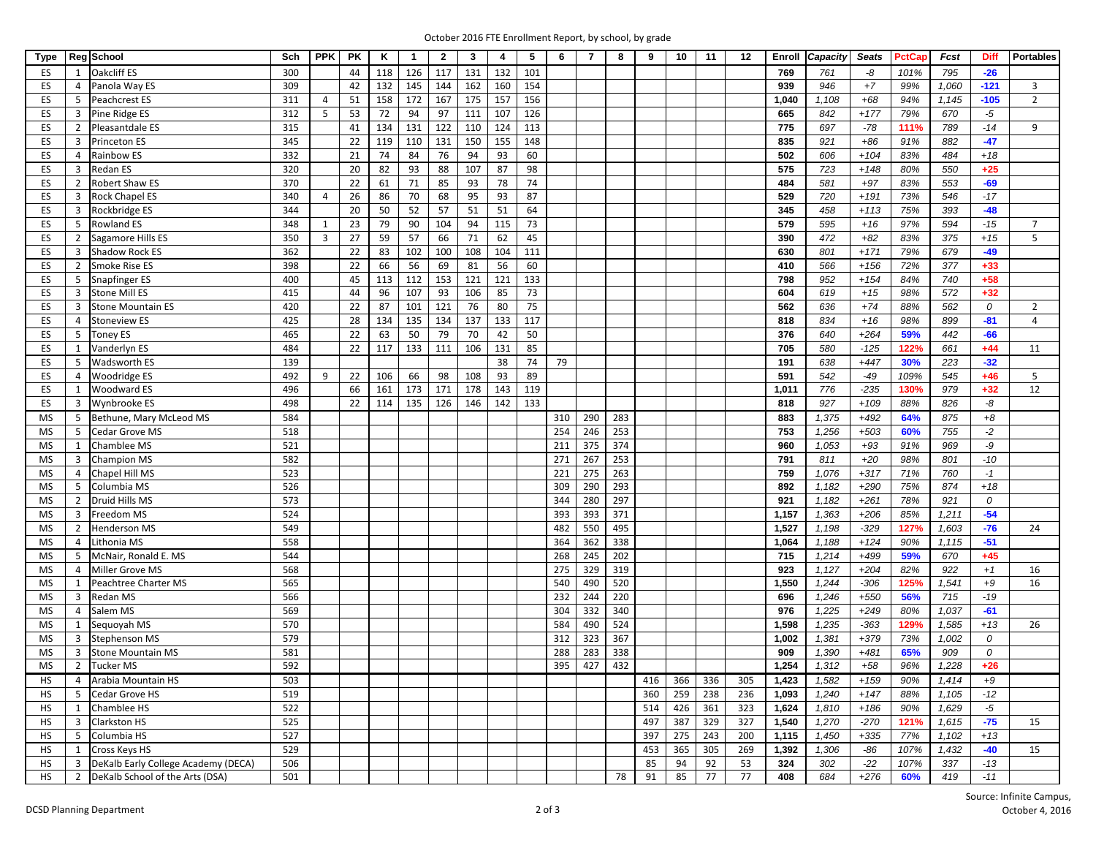| October 2016 FTE Enrollment Report, by school, by grade |  |  |  |  |  |
|---------------------------------------------------------|--|--|--|--|--|
|---------------------------------------------------------|--|--|--|--|--|

| <b>Type</b> |                | Reg School                          | Sch | <b>PPK</b>          | <b>PK</b> | κ   | $\mathbf{1}$ | $\mathbf{2}$ | 3   | 4   | 5               | 6   | 7   | 8   | 9   | 10  | 11  | 12  | Enroll | Capacity | <b>Seats</b>   | PctCap | Fcst  | <b>Diff</b> | <b>Portables</b> |
|-------------|----------------|-------------------------------------|-----|---------------------|-----------|-----|--------------|--------------|-----|-----|-----------------|-----|-----|-----|-----|-----|-----|-----|--------|----------|----------------|--------|-------|-------------|------------------|
| ES          | $\mathbf{1}$   | Oakcliff ES                         | 300 |                     | 44        | 118 | 126          | 117          | 131 | 132 | 101             |     |     |     |     |     |     |     | 769    | 761      | -8             | 101%   | 795   | $-26$       |                  |
| ES          | $\overline{4}$ | Panola Way ES                       | 309 |                     | 42        | 132 | 145          | 144          | 162 | 160 | 154             |     |     |     |     |     |     |     | 939    | 946      | $\pm 7$        | 99%    | 1,060 | $-121$      | 3                |
| ES          | 5              | Peachcrest ES                       | 311 | $\overline{4}$      | 51        | 158 | 172          | 167          | 175 | 157 | 156             |     |     |     |     |     |     |     | 1,040  | 1,108    | $+68$          | 94%    | 1,145 | $-105$      | $\overline{2}$   |
| ES          | $\overline{3}$ | Pine Ridge ES                       | 312 | 5                   | 53        | 72  | 94           | 97           | 111 | 107 | 126             |     |     |     |     |     |     |     | 665    | 842      | $+177$         | 79%    | 670   | -5          |                  |
| ES          | 2              | Pleasantdale ES                     | 315 |                     | 41        | 134 | 131          | 122          | 110 | 124 | 113             |     |     |     |     |     |     |     | 775    | 697      | $-78$          | 111%   | 789   | $-14$       | 9                |
| ES          | $\overline{3}$ | Princeton ES                        | 345 |                     | 22        | 119 | 110          | 131          | 150 | 155 | 148             |     |     |     |     |     |     |     | 835    | 921      | $+86$          | 91%    | 882   | $-47$       |                  |
| ES          | $\overline{4}$ | Rainbow ES                          | 332 |                     | 21        | 74  | 84           | 76           | 94  | 93  | 60              |     |     |     |     |     |     |     | 502    | 606      | $+104$         | 83%    | 484   | $+18$       |                  |
| ES          | 3              | Redan ES                            | 320 |                     | 20        | 82  | 93           | 88           | 107 | 87  | 98              |     |     |     |     |     |     |     | 575    | 723      | $+148$         | 80%    | 550   | $+25$       |                  |
| ES          | $\overline{2}$ | Robert Shaw ES                      | 370 |                     | 22        | 61  | 71           | 85           | 93  | 78  | 74              |     |     |     |     |     |     |     | 484    | 581      | $+97$          | 83%    | 553   | $-69$       |                  |
| ES          | 3              | Rock Chapel ES                      | 340 | $\overline{4}$      | 26        | 86  | 70           | 68           | 95  | 93  | 87              |     |     |     |     |     |     |     | 529    | 720      | $+191$         | 73%    | 546   | $-17$       |                  |
| ES          | $\overline{3}$ | Rockbridge ES                       | 344 |                     | 20        | 50  | 52           | 57           | 51  | 51  | 64              |     |     |     |     |     |     |     | 345    | 458      | $+113$         | 75%    | 393   | $-48$       |                  |
|             | 5              |                                     | 348 |                     | 23        | 79  | 90           | 104          | 94  | 115 |                 |     |     |     |     |     |     |     | 579    | 595      |                | 97%    | 594   | $-15$       | $\overline{7}$   |
| ES<br>ES    | $\overline{2}$ | Rowland ES                          | 350 | 1<br>$\overline{3}$ | 27        | 59  | 57           | 66           | 71  | 62  | 73              |     |     |     |     |     |     |     | 390    | 472      | $+16$<br>$+82$ | 83%    | 375   | $+15$       | 5                |
|             |                | Sagamore Hills ES                   | 362 |                     |           |     |              |              |     |     | 45              |     |     |     |     |     |     |     |        |          |                |        |       |             |                  |
| ES          | $\overline{3}$ | <b>Shadow Rock ES</b>               |     |                     | 22        | 83  | 102          | 100          | 108 | 104 | 111             |     |     |     |     |     |     |     | 630    | 801      | $+171$         | 79%    | 679   | $-49$       |                  |
| ES          | $\overline{2}$ | Smoke Rise ES                       | 398 |                     | 22        | 66  | 56           | 69           | 81  | 56  | 60              |     |     |     |     |     |     |     | 410    | 566      | $+156$         | 72%    | 377   | $+33$       |                  |
| ES          | 5              | Snapfinger ES                       | 400 |                     | 45        | 113 | 112          | 153          | 121 | 121 | 133             |     |     |     |     |     |     |     | 798    | 952      | $+154$         | 84%    | 740   | $+58$       |                  |
| ES          | $\overline{3}$ | <b>Stone Mill ES</b>                | 415 |                     | 44        | 96  | 107          | 93           | 106 | 85  | $\overline{73}$ |     |     |     |     |     |     |     | 604    | 619      | $+15$          | 98%    | 572   | $+32$       |                  |
| ES          | $\overline{3}$ | <b>Stone Mountain ES</b>            | 420 |                     | 22        | 87  | 101          | 121          | 76  | 80  | 75              |     |     |     |     |     |     |     | 562    | 636      | $+74$          | 88%    | 562   | 0           | $\overline{2}$   |
| ES          | $\overline{4}$ | <b>Stoneview ES</b>                 | 425 |                     | 28        | 134 | 135          | 134          | 137 | 133 | 117             |     |     |     |     |     |     |     | 818    | 834      | $+16$          | 98%    | 899   | $-81$       | $\overline{4}$   |
| ES          | -5             | <b>Toney ES</b>                     | 465 |                     | 22        | 63  | 50           | 79           | 70  | 42  | 50              |     |     |     |     |     |     |     | 376    | 640      | $+264$         | 59%    | 442   | $-66$       |                  |
| ES          | 1              | Vanderlyn ES                        | 484 |                     | 22        | 117 | 133          | 111          | 106 | 131 | 85              |     |     |     |     |     |     |     | 705    | 580      | $-125$         | 122%   | 661   | $+44$       | 11               |
| ES          | -5             | Wadsworth ES                        | 139 |                     |           |     |              |              |     | 38  | 74              | 79  |     |     |     |     |     |     | 191    | 638      | $+447$         | 30%    | 223   | $-32$       |                  |
| ES          | $\overline{4}$ | Woodridge ES                        | 492 | 9                   | 22        | 106 | 66           | 98           | 108 | 93  | 89              |     |     |     |     |     |     |     | 591    | 542      | $-49$          | 109%   | 545   | $+46$       | 5                |
| ES          | $\mathbf{1}$   | Woodward ES                         | 496 |                     | 66        | 161 | 173          | 171          | 178 | 143 | 119             |     |     |     |     |     |     |     | 1,011  | 776      | $-235$         | 130%   | 979   | $+32$       | 12               |
| ES          | $\overline{3}$ | Wynbrooke ES                        | 498 |                     | 22        | 114 | 135          | 126          | 146 | 142 | 133             |     |     |     |     |     |     |     | 818    | 927      | $+109$         | 88%    | 826   | -8          |                  |
| MS          | 5              | Bethune, Mary McLeod MS             | 584 |                     |           |     |              |              |     |     |                 | 310 | 290 | 283 |     |     |     |     | 883    | 1,375    | $+492$         | 64%    | 875   | $+8$        |                  |
| MS          | 5              | Cedar Grove MS                      | 518 |                     |           |     |              |              |     |     |                 | 254 | 246 | 253 |     |     |     |     | 753    | 1,256    | $+503$         | 60%    | 755   | $-2$        |                  |
| MS          | 1              | Chamblee MS                         | 521 |                     |           |     |              |              |     |     |                 | 211 | 375 | 374 |     |     |     |     | 960    | 1,053    | $+93$          | 91%    | 969   | -9          |                  |
| MS          | 3              | <b>Champion MS</b>                  | 582 |                     |           |     |              |              |     |     |                 | 271 | 267 | 253 |     |     |     |     | 791    | 811      | $+20$          | 98%    | 801   | $-10$       |                  |
| MS          | $\overline{4}$ | Chapel Hill MS                      | 523 |                     |           |     |              |              |     |     |                 | 221 | 275 | 263 |     |     |     |     | 759    | 1,076    | $+317$         | 71%    | 760   | $-1$        |                  |
| MS          | 5              | Columbia MS                         | 526 |                     |           |     |              |              |     |     |                 | 309 | 290 | 293 |     |     |     |     | 892    | 1,182    | $+290$         | 75%    | 874   | $+18$       |                  |
| MS          | $\overline{2}$ | Druid Hills MS                      | 573 |                     |           |     |              |              |     |     |                 | 344 | 280 | 297 |     |     |     |     | 921    | 1,182    | $+261$         | 78%    | 921   | 0           |                  |
| MS          | $\overline{3}$ | Freedom MS                          | 524 |                     |           |     |              |              |     |     |                 | 393 | 393 | 371 |     |     |     |     | 1,157  | 1,363    | $+206$         | 85%    | 1,211 | $-54$       |                  |
| MS          | 2              | Henderson MS                        | 549 |                     |           |     |              |              |     |     |                 | 482 | 550 | 495 |     |     |     |     | 1,527  | 1,198    | $-329$         | 127%   | 1,603 | $-76$       | 24               |
| MS          | $\overline{4}$ | Lithonia MS                         | 558 |                     |           |     |              |              |     |     |                 | 364 | 362 | 338 |     |     |     |     | 1,064  | 1,188    | $+124$         | 90%    | 1,115 | $-51$       |                  |
| MS          | 5              | McNair, Ronald E. MS                | 544 |                     |           |     |              |              |     |     |                 | 268 | 245 | 202 |     |     |     |     | 715    | 1,214    | $+499$         | 59%    | 670   | $+45$       |                  |
| MS          | $\overline{4}$ | Miller Grove MS                     | 568 |                     |           |     |              |              |     |     |                 | 275 | 329 | 319 |     |     |     |     | 923    | 1,127    | $+204$         | 82%    | 922   | $+1$        | 16               |
| MS          | 1              | Peachtree Charter MS                | 565 |                     |           |     |              |              |     |     |                 | 540 | 490 | 520 |     |     |     |     | 1,550  | 1,244    | $-306$         | 125%   | 1,541 | $+9$        | 16               |
| MS          | $\overline{3}$ | Redan MS                            | 566 |                     |           |     |              |              |     |     |                 | 232 | 244 | 220 |     |     |     |     | 696    | 1,246    | $+550$         | 56%    | 715   | $-19$       |                  |
| MS          | $\overline{4}$ | Salem MS                            | 569 |                     |           |     |              |              |     |     |                 | 304 | 332 | 340 |     |     |     |     | 976    | 1,225    | $+249$         | 80%    | 1,037 | $-61$       |                  |
| MS          | 1              | Sequoyah MS                         | 570 |                     |           |     |              |              |     |     |                 | 584 | 490 | 524 |     |     |     |     | 1,598  | 1,235    | $-363$         | 129%   | 1,585 | $+13$       | 26               |
| <b>MS</b>   | $\overline{3}$ | <b>Stephenson MS</b>                | 579 |                     |           |     |              |              |     |     |                 | 312 | 323 | 367 |     |     |     |     | 1,002  | 1,381    | $+379$         | 73%    | 1,002 | 0           |                  |
| MS          | $\overline{3}$ | <b>Stone Mountain MS</b>            | 581 |                     |           |     |              |              |     |     |                 | 288 | 283 | 338 |     |     |     |     | 909    | 1,390    | $+481$         | 65%    | 909   | 0           |                  |
| MS          |                | 2 Tucker MS                         | 592 |                     |           |     |              |              |     |     |                 | 395 | 427 | 432 |     |     |     |     | 1,254  | 1,312    | $+58$          | 96%    | 1,228 | $+26$       |                  |
| HS          |                | 4 Arabia Mountain HS                | 503 |                     |           |     |              |              |     |     |                 |     |     |     | 416 | 366 | 336 | 305 | 1,423  | 1,582    | $+159$         | 90%    | 1,414 | $+9$        |                  |
| HS          | 5              | Cedar Grove HS                      | 519 |                     |           |     |              |              |     |     |                 |     |     |     | 360 | 259 | 238 | 236 | 1,093  | 1,240    | $+147$         | 88%    | 1,105 | $-12$       |                  |
| HS          | 1              | Chamblee HS                         | 522 |                     |           |     |              |              |     |     |                 |     |     |     | 514 | 426 | 361 | 323 | 1,624  | 1,810    | $+186$         | 90%    | 1,629 | $-5$        |                  |
| <b>HS</b>   | $\overline{3}$ | Clarkston HS                        | 525 |                     |           |     |              |              |     |     |                 |     |     |     | 497 | 387 | 329 | 327 | 1,540  | 1,270    | $-270$         | 121%   | 1,615 | $-75$       | 15               |
| HS          | 5              | Columbia HS                         | 527 |                     |           |     |              |              |     |     |                 |     |     |     | 397 | 275 | 243 | 200 | 1,115  | 1,450    | $+335$         | 77%    | 1,102 | $+13$       |                  |
| HS          | 1              | Cross Keys HS                       | 529 |                     |           |     |              |              |     |     |                 |     |     |     | 453 | 365 | 305 | 269 | 1,392  | 1,306    | $-86$          | 107%   | 1,432 | $-40$       | 15               |
| <b>HS</b>   | $\overline{3}$ | DeKalb Early College Academy (DECA) | 506 |                     |           |     |              |              |     |     |                 |     |     |     | 85  | 94  | 92  | 53  | 324    | 302      | $-22$          | 107%   | 337   | $-13$       |                  |
| HS          | 2              | DeKalb School of the Arts (DSA)     | 501 |                     |           |     |              |              |     |     |                 |     |     | 78  | 91  | 85  | 77  | 77  | 408    | 684      | $+276$         | 60%    | 419   | $-11$       |                  |
|             |                |                                     |     |                     |           |     |              |              |     |     |                 |     |     |     |     |     |     |     |        |          |                |        |       |             |                  |